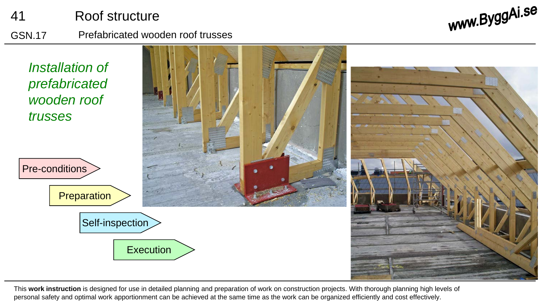

This **work instruction** is designed for use in detailed planning and preparation of work on construction projects. With thorough planning high levels of personal safety and optimal work apportionment can be achieved at the same time as the work can be organized efficiently and cost effectively.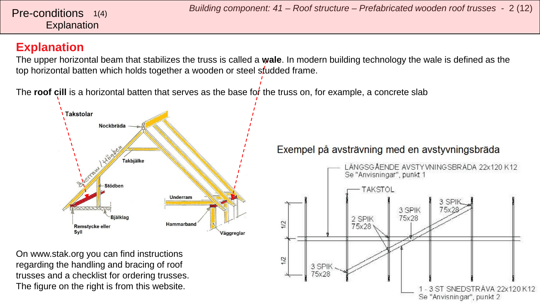#### <span id="page-1-0"></span>**Explanation**

The upper horizontal beam that stabilizes the truss is called a **wale**. In modern building technology the wale is defined as the top horizontal batten which holds together a wooden or steel studded frame.

The **roof cill** is a horizontal batten that serves as the base for the truss on, for example, a concrete slab



On www.stak.org you can find instructions regarding the handling and bracing of roof trusses and a checklist for ordering trusses. The figure on the right is from this website.

#### Exempel på avsträvning med en avstyvningsbräda

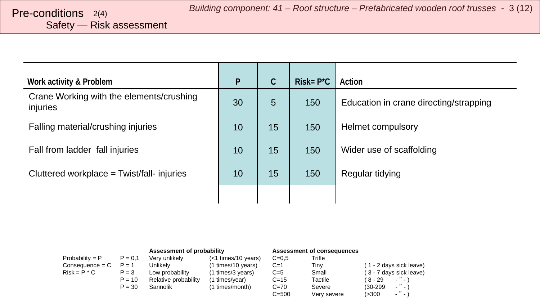# Safety — Risk assessment

| Work activity & Problem                              | $\mathsf{P}$ | C  | $Risk = P^*C$ | Action                                 |
|------------------------------------------------------|--------------|----|---------------|----------------------------------------|
| Crane Working with the elements/crushing<br>injuries | 30           | 5  | 150           | Education in crane directing/strapping |
| Falling material/crushing injuries                   | 10           | 15 | 150           | <b>Helmet compulsory</b>               |
| Fall from ladder fall injuries                       | 10           | 15 | 150           | Wider use of scaffolding               |
| Cluttered workplace = Twist/fall- injuries           | 10           | 15 | 150           | Regular tidying                        |
|                                                      |              |    |               |                                        |

|                   |           | Assessment of probability |                     |           | Assessment of consequences |            |                         |
|-------------------|-----------|---------------------------|---------------------|-----------|----------------------------|------------|-------------------------|
| Probability = $P$ | $P = 0.1$ | Verv unlikelv             | (<1 times/10 years) | $C = 0.5$ | Trifle                     |            |                         |
| $Consequence = C$ | $P = 1$   | Unlikely                  | (1 times/10 years)  | $C=1$     | Tinv                       |            | (1 - 2 days sick leave) |
| $Risk = P * C$    | $P = 3$   | Low probability           | (1 times/3 years)   | $C=5$     | Small                      |            | (3 - 7 days sick leave) |
|                   | $P = 10$  | Relative probability      | (1 times/year)      | $C = 15$  | Tactile                    | ( 8 - 29   | $ "$ $ "$               |
|                   | $P = 30$  | Sannolik                  | (1 times/month)     | $C=70$    | Severe                     | $(30-299)$ | $\sim$ $\sim$ $\sim$    |
|                   |           |                           |                     | $C = 500$ | Very severe                | (>300      | $\cdot$ " $\cdot$       |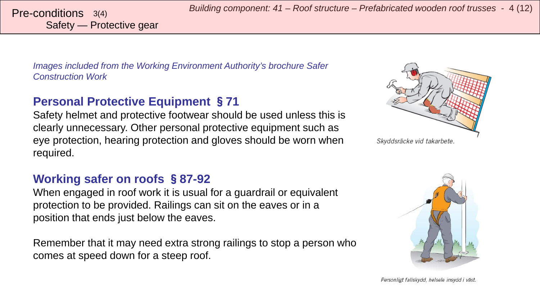Safety — Protective gear

*Images included from the Working Environment Authority's brochure Safer Construction Work*

### **Personal Protective Equipment** §**71**

Safety helmet and protective footwear should be used unless this is clearly unnecessary. Other personal protective equipment such as eye protection, hearing protection and gloves should be worn when required.

#### **Working safer on roofs** §**87-92**

When engaged in roof work it is usual for a guardrail or equivalent protection to be provided. Railings can sit on the eaves or in a position that ends just below the eaves.

Remember that it may need extra strong railings to stop a person who comes at speed down for a steep roof.



Skyddsräcke vid takarbete.

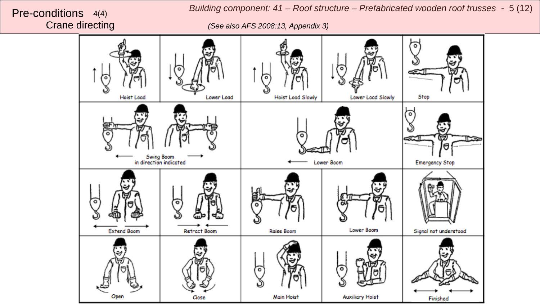

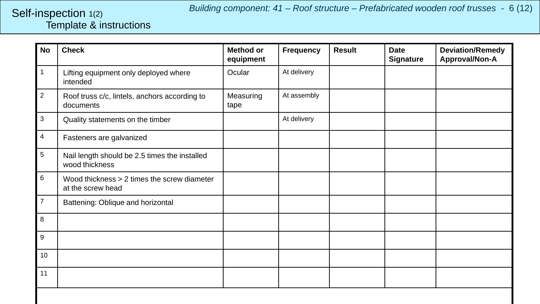#### <span id="page-5-0"></span>Template & instructions Self-inspection 1(2)

| <b>No</b>      | <b>Check</b>                                                     | <b>Method or</b><br>equipment | <b>Frequency</b> | <b>Result</b> | <b>Date</b><br><b>Signature</b> | <b>Deviation/Remedy</b><br>Approval/Non-A |
|----------------|------------------------------------------------------------------|-------------------------------|------------------|---------------|---------------------------------|-------------------------------------------|
| 1              | Lifting equipment only deployed where<br>intended                | Ocular                        | At delivery      |               |                                 |                                           |
| $\overline{c}$ | Roof truss c/c, lintels, anchors according to<br>documents       | Measuring<br>tape             | At assembly      |               |                                 |                                           |
| 3              | Quality statements on the timber                                 |                               | At delivery      |               |                                 |                                           |
| 4              | Fasteners are galvanized                                         |                               |                  |               |                                 |                                           |
| 5              | Nail length should be 2.5 times the installed<br>wood thickness  |                               |                  |               |                                 |                                           |
| 6              | Wood thickness > 2 times the screw diameter<br>at the screw head |                               |                  |               |                                 |                                           |
| $\overline{7}$ | Battening: Oblique and horizontal                                |                               |                  |               |                                 |                                           |
| 8              |                                                                  |                               |                  |               |                                 |                                           |
| 9              |                                                                  |                               |                  |               |                                 |                                           |
| 10             |                                                                  |                               |                  |               |                                 |                                           |
| 11             |                                                                  |                               |                  |               |                                 |                                           |
|                |                                                                  |                               |                  |               |                                 |                                           |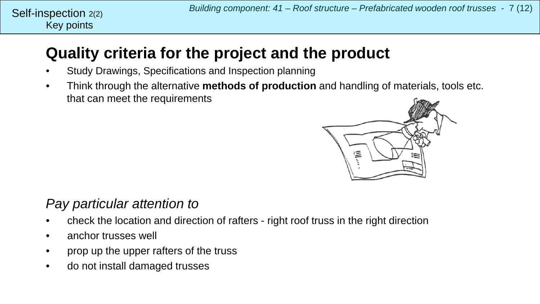## **Quality criteria for the project and the product**

- Study Drawings, Specifications and Inspection planning
- Think through the alternative **methods of production** and handling of materials, tools etc. that can meet the requirements



### *Pay particular attention to*

- check the location and direction of rafters right roof truss in the right direction
- anchor trusses well
- prop up the upper rafters of the truss
- do not install damaged trusses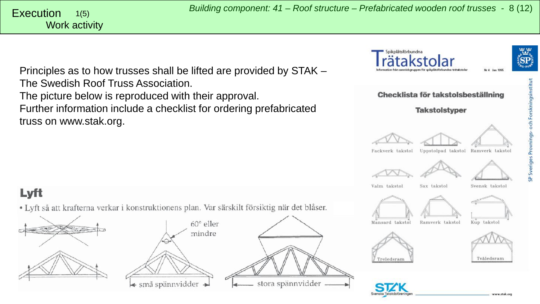Spikplåtsförbundna

Principles as to how trusses shall be lifted are provided by STAK – The Swedish Roof Truss Association. The picture below is reproduced with their approval. Further information include a checklist for ordering prefabricated truss on www.stak.org.

Lyft

<span id="page-7-0"></span>Work activity 1(5)

• Lyft så att krafterna verkar i konstruktionens plan. Var särskilt försiktig när det blåser.







www.stak.org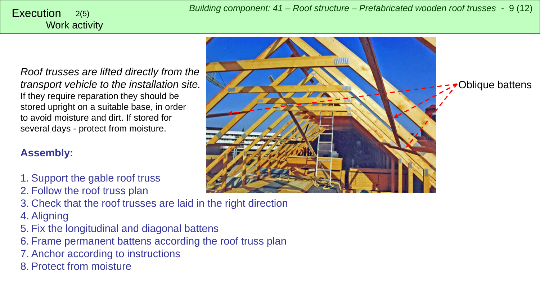*Roof trusses are lifted directly from the transport vehicle to the installation site.* If they require reparation they should be stored upright on a suitable base, in order to avoid moisture and dirt. If stored for several days - protect from moisture.

#### **Assembly:**

- 1. Support the gable roof truss
- 2. Follow the roof truss plan
- 3. Check that the roof trusses are laid in the right direction
- 4. Aligning
- 5. Fix the longitudinal and diagonal battens
- 6. Frame permanent battens according the roof truss plan
- 7. Anchor according to instructions
- 8. Protect from moisture

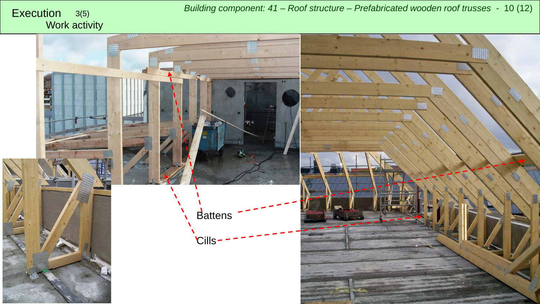*Building component: 41 – Roof structure – Prefabricated wooden roof trusses -* <sup>10</sup> (12) Execution 3(5)

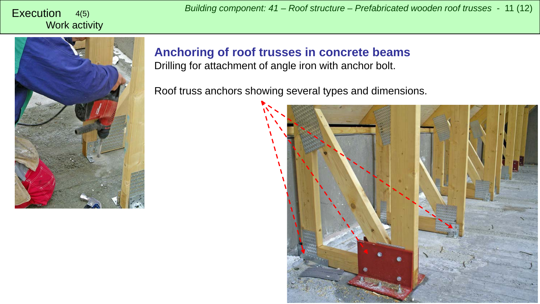

**Anchoring of roof trusses in concrete beams** Drilling for attachment of angle iron with anchor bolt.

Roof truss anchors showing several types and dimensions.